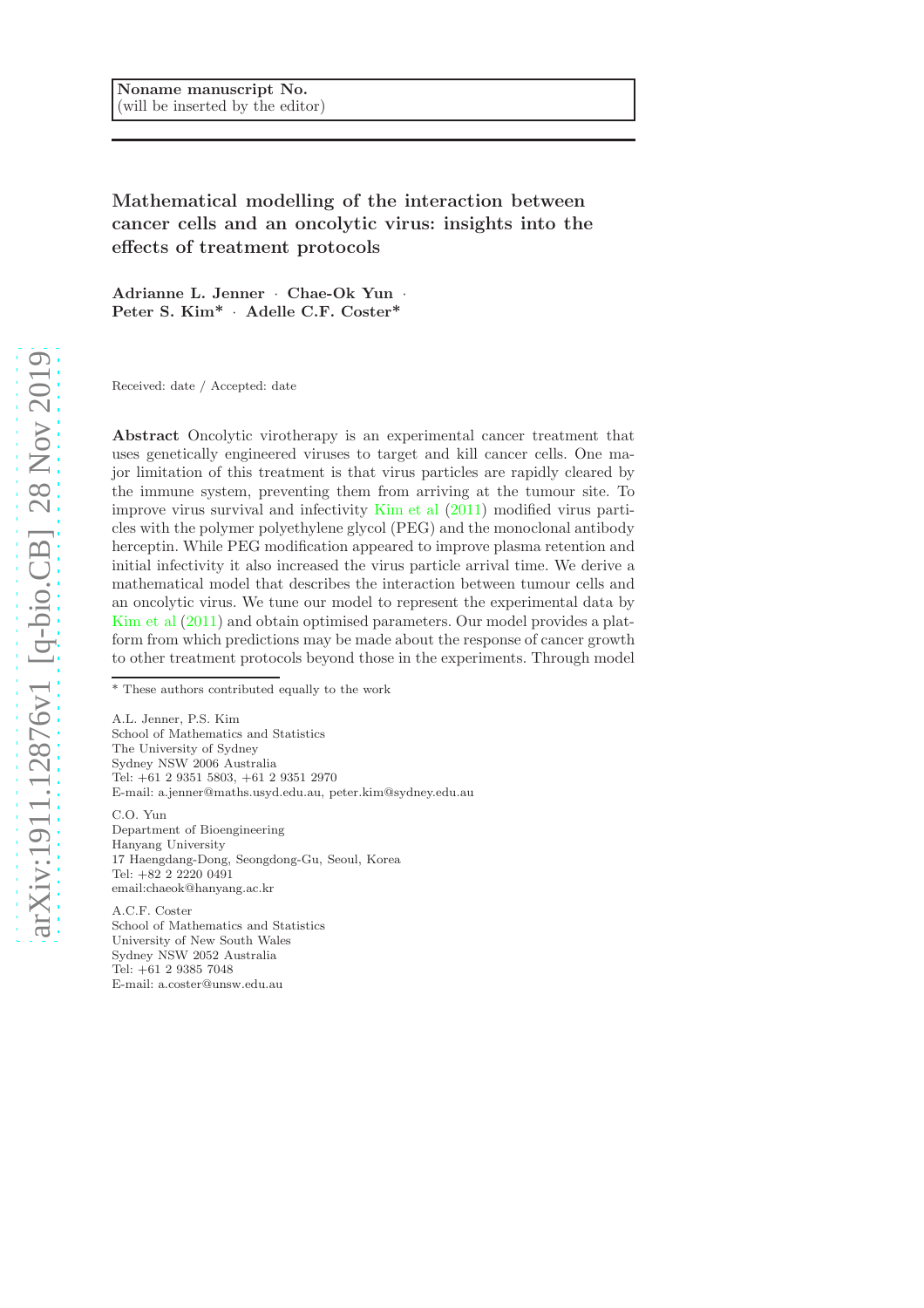Mathematical modelling of the interaction between cancer cells and an oncolytic virus: insights into the effects of treatment protocols

Adrianne L. Jenner · Chae-Ok Yun · Peter S. Kim\* ¨ Adelle C.F. Coster\*

Received: date / Accepted: date

Abstract Oncolytic virotherapy is an experimental cancer treatment that uses genetically engineered viruses to target and kill cancer cells. One major limitation of this treatment is that virus particles are rapidly cleared by the immune system, preventing them from arriving at the tumour site. To improve virus survival and infectivity [Kim et al](#page-13-0) [\(2011](#page-13-0)) modified virus particles with the polymer polyethylene glycol (PEG) and the monoclonal antibody herceptin. While PEG modification appeared to improve plasma retention and initial infectivity it also increased the virus particle arrival time. We derive a mathematical model that describes the interaction between tumour cells and an oncolytic virus. We tune our model to represent the experimental data by [Kim et al](#page-13-0) [\(2011\)](#page-13-0) and obtain optimised parameters. Our model provides a platform from which predictions may be made about the response of cancer growth to other treatment protocols beyond those in the experiments. Through model

A.L. Jenner, P.S. Kim School of Mathematics and Statistics The University of Sydney Sydney NSW 2006 Australia Tel: +61 2 9351 5803, +61 2 9351 2970 E-mail: a.jenner@maths.usyd.edu.au, peter.kim@sydney.edu.au

C.O. Yun Department of Bioengineering Hanyang University 17 Haengdang-Dong, Seongdong-Gu, Seoul, Korea Tel: +82 2 2220 0491 email:chaeok@hanyang.ac.kr

A.C.F. Coster School of Mathematics and Statistics University of New South Wales Sydney NSW 2052 Australia Tel: +61 2 9385 7048 E-mail: a.coster@unsw.edu.au

<sup>\*</sup> These authors contributed equally to the work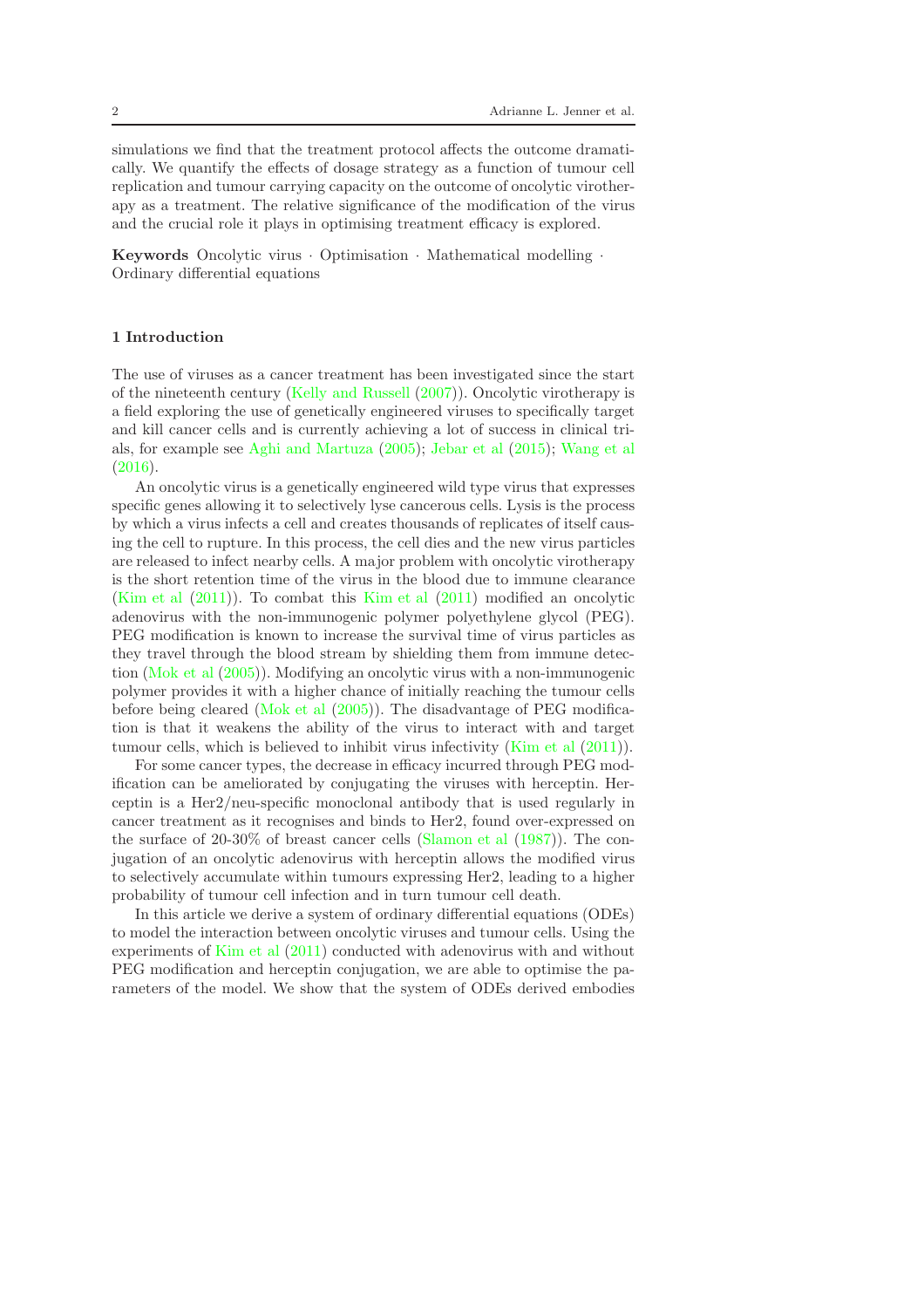simulations we find that the treatment protocol affects the outcome dramatically. We quantify the effects of dosage strategy as a function of tumour cell replication and tumour carrying capacity on the outcome of oncolytic virotherapy as a treatment. The relative significance of the modification of the virus and the crucial role it plays in optimising treatment efficacy is explored.

Keywords Oncolytic virus  $\cdot$  Optimisation  $\cdot$  Mathematical modelling  $\cdot$ Ordinary differential equations

# 1 Introduction

The use of viruses as a cancer treatment has been investigated since the start of the nineteenth century [\(Kelly and Russell](#page-13-1) [\(2007\)](#page-13-1)). Oncolytic virotherapy is a field exploring the use of genetically engineered viruses to specifically target and kill cancer cells and is currently achieving a lot of success in clinical trials, for example see [Aghi and Martuza](#page-13-2) [\(2005\)](#page-13-2); [Jebar et al](#page-13-3) [\(2015](#page-13-3)); [Wang et al](#page-14-0) [\(2016\)](#page-14-0).

An oncolytic virus is a genetically engineered wild type virus that expresses specific genes allowing it to selectively lyse cancerous cells. Lysis is the process by which a virus infects a cell and creates thousands of replicates of itself causing the cell to rupture. In this process, the cell dies and the new virus particles are released to infect nearby cells. A major problem with oncolytic virotherapy is the short retention time of the virus in the blood due to immune clearance [\(Kim et al](#page-13-0) [\(2011\)](#page-13-0)). To combat this [Kim et al](#page-13-0) [\(2011](#page-13-0)) modified an oncolytic adenovirus with the non-immunogenic polymer polyethylene glycol (PEG). PEG modification is known to increase the survival time of virus particles as they travel through the blood stream by shielding them from immune detection [\(Mok et al](#page-14-1) [\(2005](#page-14-1))). Modifying an oncolytic virus with a non-immunogenic polymer provides it with a higher chance of initially reaching the tumour cells before being cleared [\(Mok et al](#page-14-1) [\(2005](#page-14-1))). The disadvantage of PEG modification is that it weakens the ability of the virus to interact with and target tumour cells, which is believed to inhibit virus infectivity [\(Kim et al](#page-13-0) [\(2011\)](#page-13-0)).

For some cancer types, the decrease in efficacy incurred through PEG modification can be ameliorated by conjugating the viruses with herceptin. Herceptin is a Her2/neu-specific monoclonal antibody that is used regularly in cancer treatment as it recognises and binds to Her2, found over-expressed on the surface of 20-30% of breast cancer cells [\(Slamon et al](#page-14-2) [\(1987\)](#page-14-2)). The conjugation of an oncolytic adenovirus with herceptin allows the modified virus to selectively accumulate within tumours expressing Her2, leading to a higher probability of tumour cell infection and in turn tumour cell death.

In this article we derive a system of ordinary differential equations (ODEs) to model the interaction between oncolytic viruses and tumour cells. Using the experiments of [Kim et al](#page-13-0) [\(2011](#page-13-0)) conducted with adenovirus with and without PEG modification and herceptin conjugation, we are able to optimise the parameters of the model. We show that the system of ODEs derived embodies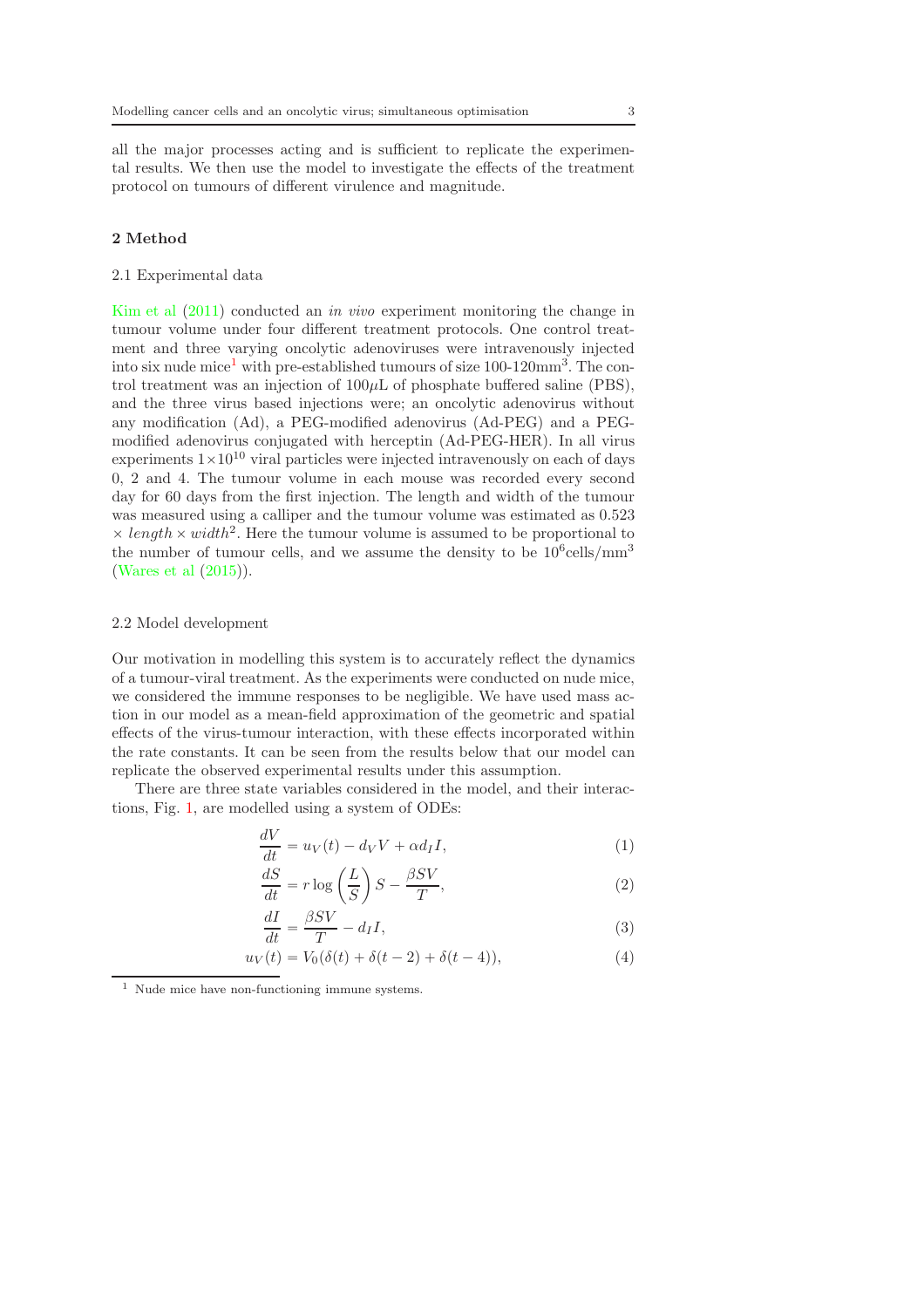all the major processes acting and is sufficient to replicate the experimental results. We then use the model to investigate the effects of the treatment protocol on tumours of different virulence and magnitude.

## <span id="page-2-3"></span>2 Method

#### 2.1 Experimental data

[Kim et al](#page-13-0) [\(2011](#page-13-0)) conducted an in vivo experiment monitoring the change in tumour volume under four different treatment protocols. One control treatment and three varying oncolytic adenoviruses were intravenously injected into six nude mice<sup>[1](#page-2-0)</sup> with pre-established tumours of size  $100-120$  mm<sup>3</sup>. The control treatment was an injection of  $100\mu$ L of phosphate buffered saline (PBS), and the three virus based injections were; an oncolytic adenovirus without any modification (Ad), a PEG-modified adenovirus (Ad-PEG) and a PEGmodified adenovirus conjugated with herceptin (Ad-PEG-HER). In all virus experiments  $1 \times 10^{10}$  viral particles were injected intravenously on each of days 0, 2 and 4. The tumour volume in each mouse was recorded every second day for 60 days from the first injection. The length and width of the tumour was measured using a calliper and the tumour volume was estimated as 0.523  $\times$  length  $\times$  width<sup>2</sup>. Here the tumour volume is assumed to be proportional to the number of tumour cells, and we assume the density to be  $10^6$  cells/mm<sup>3</sup> [\(Wares et al](#page-14-3) [\(2015\)](#page-14-3)).

# 2.2 Model development

Our motivation in modelling this system is to accurately reflect the dynamics of a tumour-viral treatment. As the experiments were conducted on nude mice, we considered the immune responses to be negligible. We have used mass action in our model as a mean-field approximation of the geometric and spatial effects of the virus-tumour interaction, with these effects incorporated within the rate constants. It can be seen from the results below that our model can replicate the observed experimental results under this assumption.

There are three state variables considered in the model, and their interactions, Fig. [1,](#page-3-0) are modelled using a system of ODEs:

$$
\frac{dV}{dt} = u_V(t) - d_V V + \alpha d_I I,\tag{1}
$$

<span id="page-2-1"></span>
$$
\frac{dS}{dt} = r \log\left(\frac{L}{S}\right)S - \frac{\beta SV}{T},\tag{2}
$$

<span id="page-2-4"></span><span id="page-2-2"></span>
$$
\frac{dI}{dt} = \frac{\beta SV}{T} - d_I I,\tag{3}
$$

$$
u_V(t) = V_0(\delta(t) + \delta(t - 2) + \delta(t - 4)),
$$
\n(4)

<span id="page-2-0"></span> $^{\rm 1}$  Nude mice have non-functioning immune systems.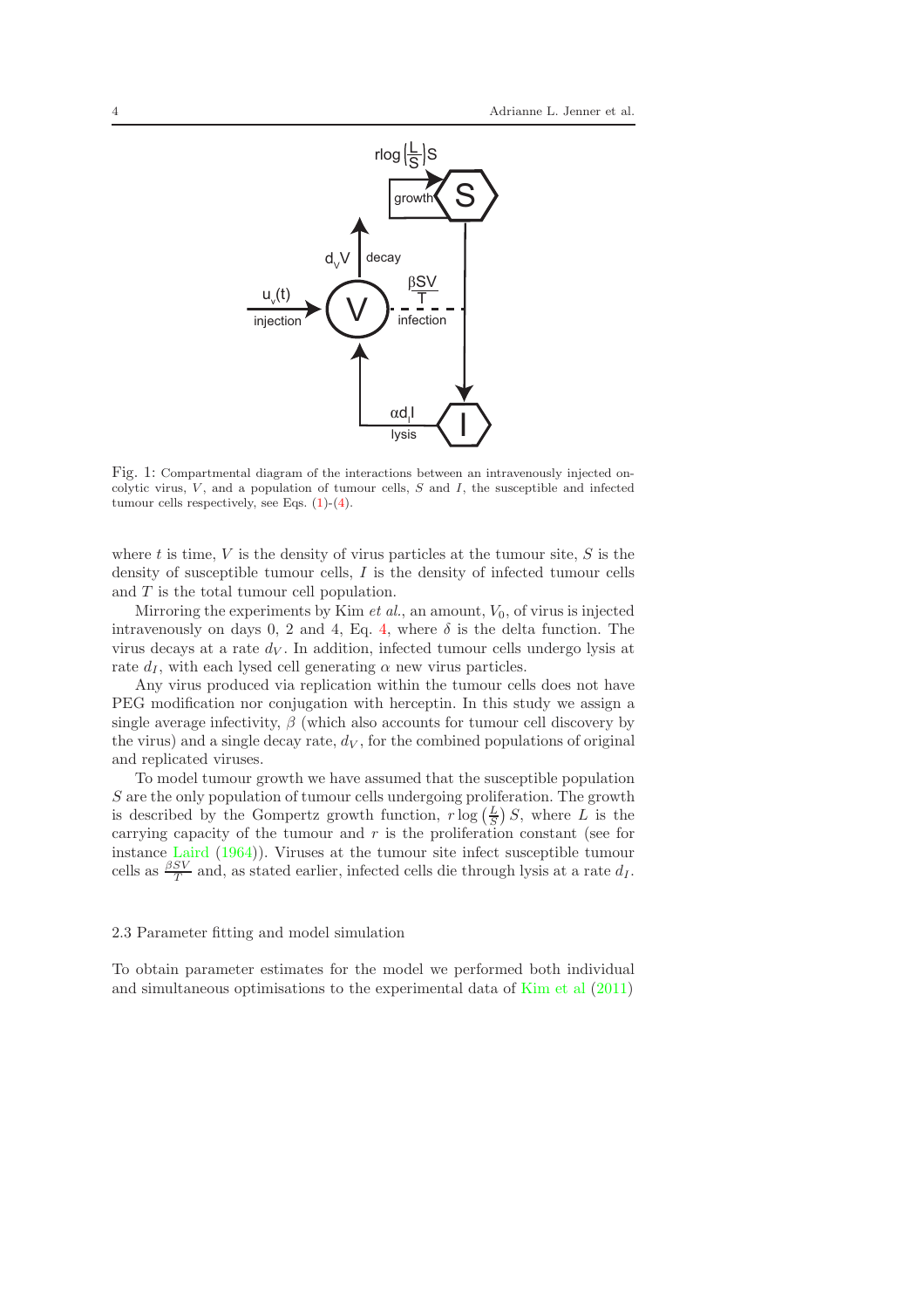<span id="page-3-0"></span>

Fig. 1: Compartmental diagram of the interactions between an intravenously injected oncolytic virus,  $V$ , and a population of tumour cells,  $S$  and  $I$ , the susceptible and infected tumour cells respectively, see Eqs.  $(1)-(4)$  $(1)-(4)$ .

where t is time, V is the density of virus particles at the tumour site,  $S$  is the density of susceptible tumour cells, I is the density of infected tumour cells and T is the total tumour cell population.

Mirroring the experiments by Kim  $et$  al., an amount,  $V_0$ , of virus is injected intravenously on days 0, 2 and [4,](#page-2-2) Eq. 4, where  $\delta$  is the delta function. The virus decays at a rate  $d_V$ . In addition, infected tumour cells undergo lysis at rate  $d_I$ , with each lysed cell generating  $\alpha$  new virus particles.

Any virus produced via replication within the tumour cells does not have PEG modification nor conjugation with herceptin. In this study we assign a single average infectivity,  $\beta$  (which also accounts for tumour cell discovery by the virus) and a single decay rate,  $d_V$ , for the combined populations of original and replicated viruses.

To model tumour growth we have assumed that the susceptible population S are the only population of tumour cells undergoing proliferation. The growth is described by the Gompertz growth function,  $r \log \left( \frac{L}{S} \right) S$ , where L is the carrying capacity of the tumour and  $r$  is the proliferation constant (see for instance [Laird](#page-14-4) [\(1964\)](#page-14-4)). Viruses at the tumour site infect susceptible tumour cells as  $\frac{\beta SV}{T}$  and, as stated earlier, infected cells die through lysis at a rate  $d_I$ .

### <span id="page-3-1"></span>2.3 Parameter fitting and model simulation

To obtain parameter estimates for the model we performed both individual and simultaneous optimisations to the experimental data of [Kim et al](#page-13-0) [\(2011](#page-13-0))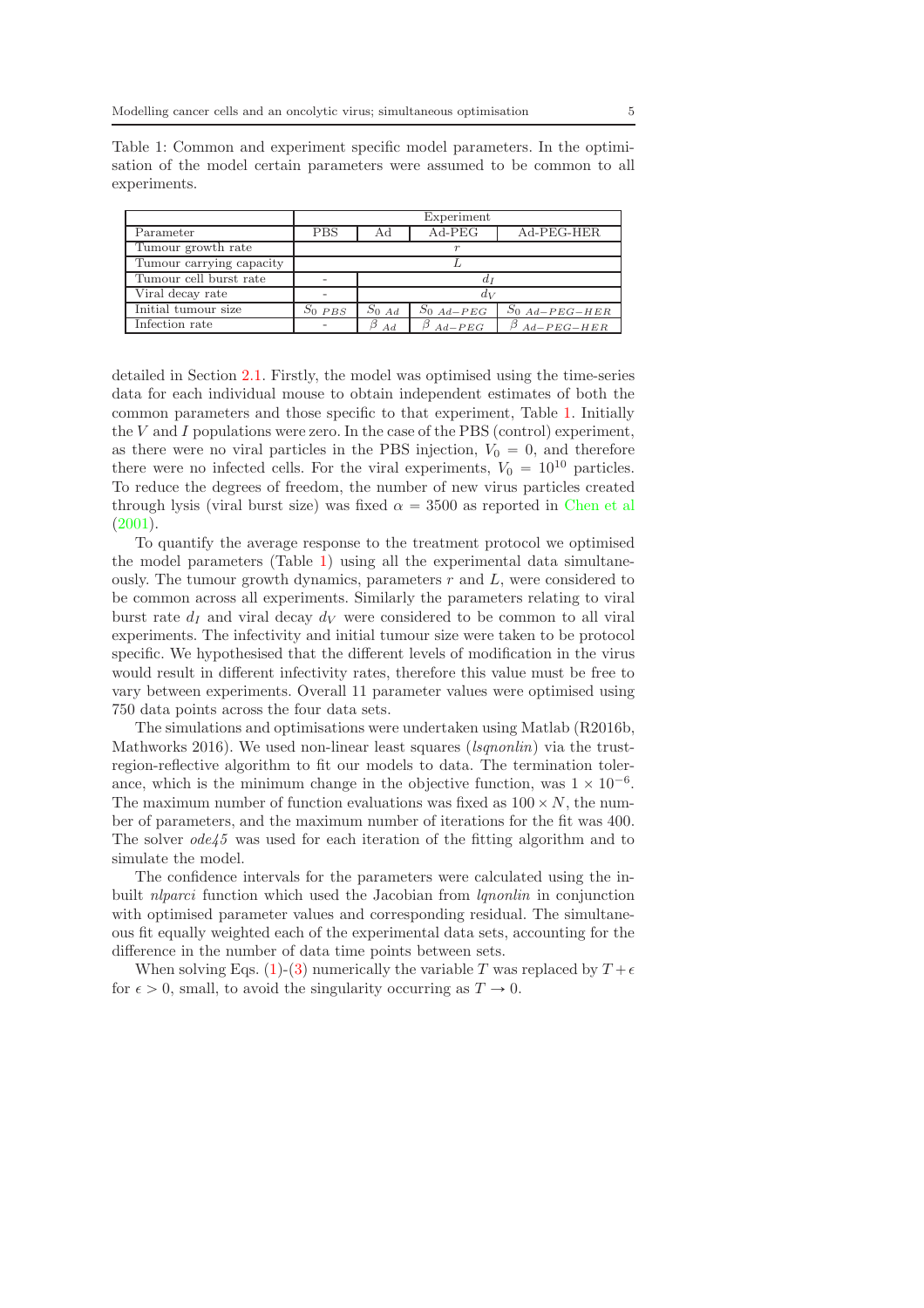<span id="page-4-0"></span>

|                          | Experiment |                   |                 |                  |  |  |  |
|--------------------------|------------|-------------------|-----------------|------------------|--|--|--|
| Parameter                | <b>PBS</b> | Αd                | $Ad-PEG$        | Ad-PEG-HER       |  |  |  |
| Tumour growth rate       |            |                   |                 |                  |  |  |  |
| Tumour carrying capacity |            |                   |                 |                  |  |  |  |
| Tumour cell burst rate   |            |                   |                 |                  |  |  |  |
| Viral decay rate         |            | $a_{\rm X}$       |                 |                  |  |  |  |
| Initial tumour size      | $S_0$ PBS  | $S_{0\text{ }Ad}$ | $S_{0\;Ad-PEC}$ | $S_0$ Ad-PEG-HER |  |  |  |
| Infection rate           |            | 17<br>Ad          | $Ad-PEG$        | $Ad-PEG-HER$     |  |  |  |

detailed in Section [2.1.](#page-2-3) Firstly, the model was optimised using the time-series data for each individual mouse to obtain independent estimates of both the common parameters and those specific to that experiment, Table [1.](#page-4-0) Initially the  $V$  and  $I$  populations were zero. In the case of the PBS (control) experiment, as there were no viral particles in the PBS injection,  $V_0 = 0$ , and therefore there were no infected cells. For the viral experiments,  $V_0 = 10^{10}$  particles. To reduce the degrees of freedom, the number of new virus particles created through lysis (viral burst size) was fixed  $\alpha = 3500$  as reported in [Chen et al](#page-13-4)l [\(2001\)](#page-13-4).

To quantify the average response to the treatment protocol we optimised the model parameters (Table [1\)](#page-4-0) using all the experimental data simultaneously. The tumour growth dynamics, parameters  $r$  and  $L$ , were considered to be common across all experiments. Similarly the parameters relating to viral burst rate  $d<sub>I</sub>$  and viral decay  $d<sub>V</sub>$  were considered to be common to all viral experiments. The infectivity and initial tumour size were taken to be protocol specific. We hypothesised that the different levels of modification in the virus would result in different infectivity rates, therefore this value must be free to vary between experiments. Overall 11 parameter values were optimised using 750 data points across the four data sets.

The simulations and optimisations were undertaken using Matlab (R2016b, Mathworks 2016). We used non-linear least squares (*lsqnonlin*) via the trustregion-reflective algorithm to fit our models to data. The termination tolerance, which is the minimum change in the objective function, was  $1 \times 10^{-6}$ . The maximum number of function evaluations was fixed as  $100 \times N$ , the number of parameters, and the maximum number of iterations for the fit was 400. The solver  $ode45$  was used for each iteration of the fitting algorithm and to simulate the model.

The confidence intervals for the parameters were calculated using the inbuilt *nlparci* function which used the Jacobian from *lqnonlin* in conjunction with optimised parameter values and corresponding residual. The simultaneous fit equally weighted each of the experimental data sets, accounting for the difference in the number of data time points between sets.

When solving Eqs. [\(1\)](#page-2-1)-[\(3\)](#page-2-4) numerically the variable T was replaced by  $T + \epsilon$ for  $\epsilon > 0$ , small, to avoid the singularity occurring as  $T \to 0$ .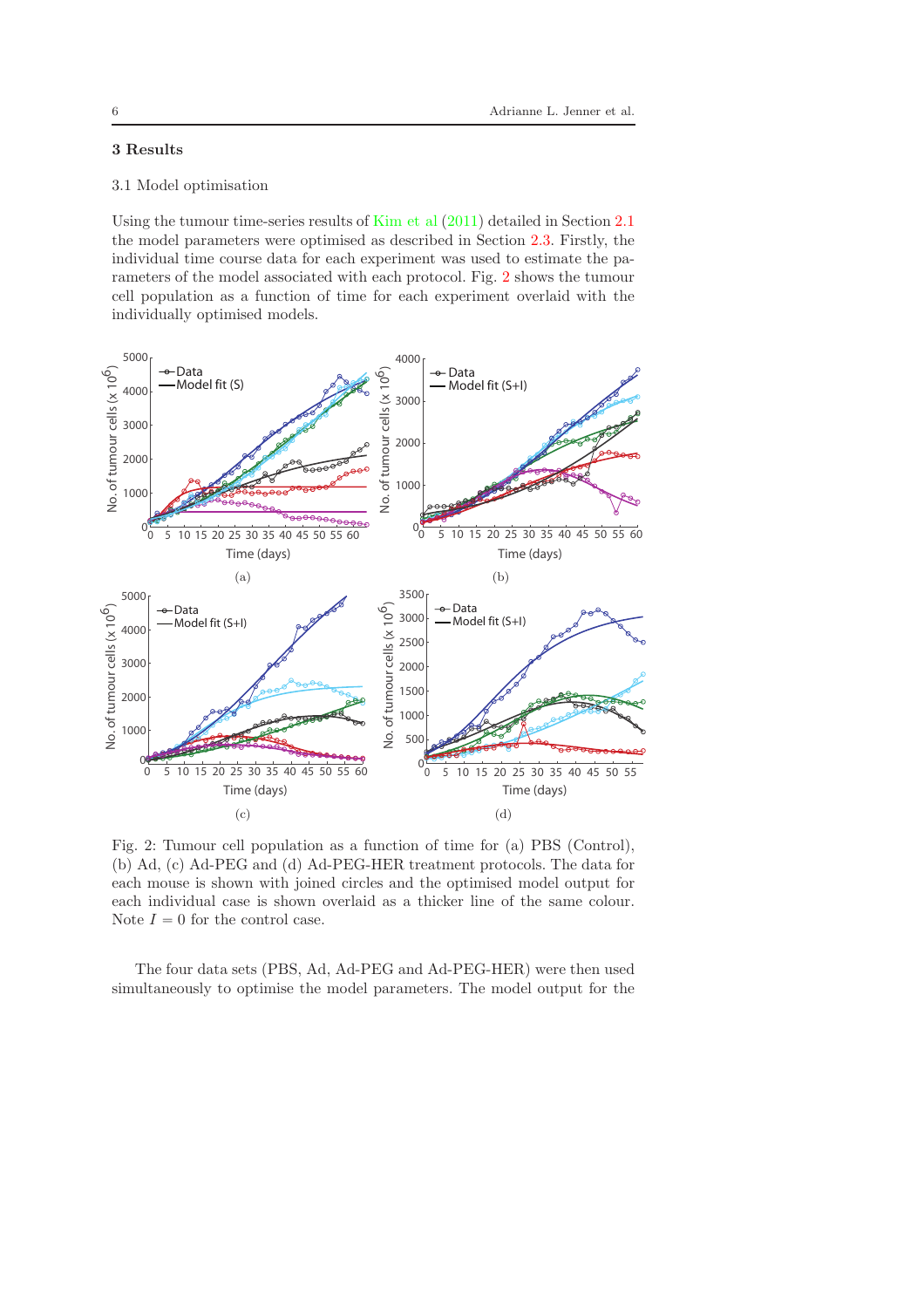# 3 Results

### 3.1 Model optimisation

Using the tumour time-series results of [Kim et al](#page-13-0) [\(2011\)](#page-13-0) detailed in Section [2.1](#page-2-3) the model parameters were optimised as described in Section [2.3.](#page-3-1) Firstly, the individual time course data for each experiment was used to estimate the parameters of the model associated with each protocol. Fig. [2](#page-5-0) shows the tumour cell population as a function of time for each experiment overlaid with the individually optimised models.

<span id="page-5-0"></span>

Fig. 2: Tumour cell population as a function of time for (a) PBS (Control), (b) Ad, (c) Ad-PEG and (d) Ad-PEG-HER treatment protocols. The data for each mouse is shown with joined circles and the optimised model output for each individual case is shown overlaid as a thicker line of the same colour. Note  $I = 0$  for the control case.

The four data sets (PBS, Ad, Ad-PEG and Ad-PEG-HER) were then used simultaneously to optimise the model parameters. The model output for the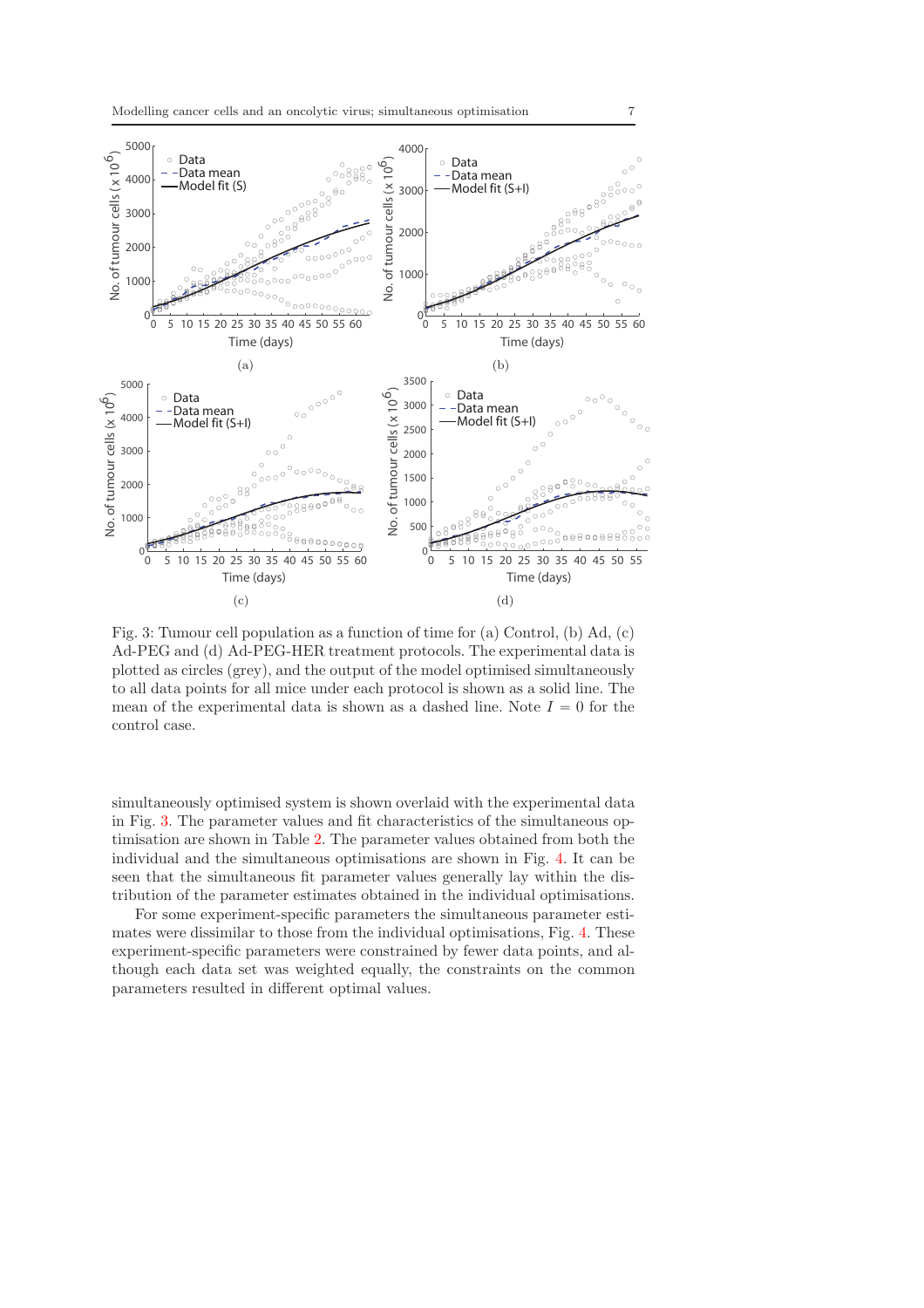<span id="page-6-0"></span>

Fig. 3: Tumour cell population as a function of time for (a) Control, (b) Ad, (c) Ad-PEG and (d) Ad-PEG-HER treatment protocols. The experimental data is plotted as circles (grey), and the output of the model optimised simultaneously to all data points for all mice under each protocol is shown as a solid line. The mean of the experimental data is shown as a dashed line. Note  $I = 0$  for the control case.

simultaneously optimised system is shown overlaid with the experimental data in Fig. [3.](#page-6-0) The parameter values and fit characteristics of the simultaneous optimisation are shown in Table [2.](#page-8-0) The parameter values obtained from both the individual and the simultaneous optimisations are shown in Fig. [4.](#page-7-0) It can be seen that the simultaneous fit parameter values generally lay within the distribution of the parameter estimates obtained in the individual optimisations.

For some experiment-specific parameters the simultaneous parameter estimates were dissimilar to those from the individual optimisations, Fig. [4.](#page-7-0) These experiment-specific parameters were constrained by fewer data points, and although each data set was weighted equally, the constraints on the common parameters resulted in different optimal values.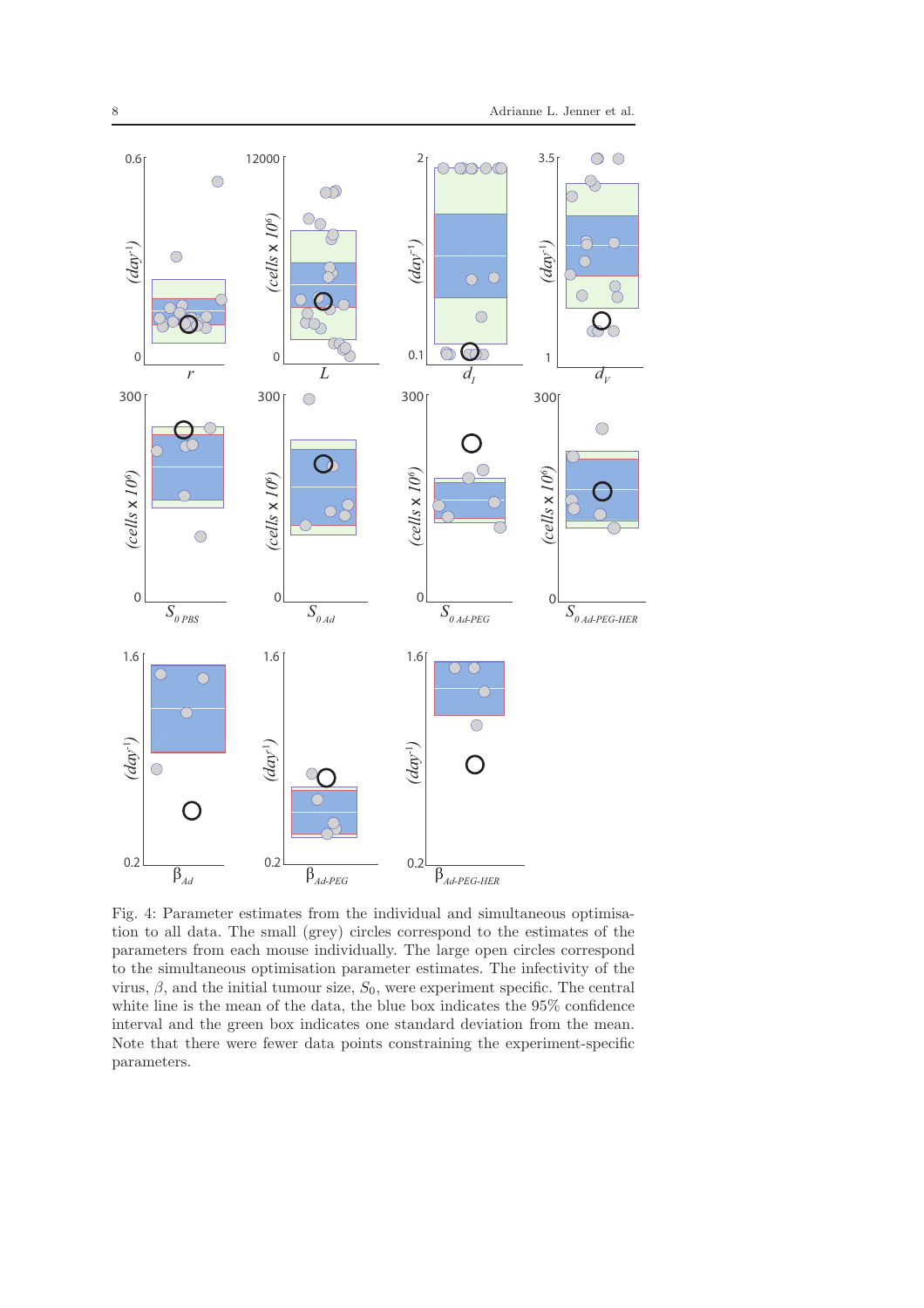<span id="page-7-0"></span>

Fig. 4: Parameter estimates from the individual and simultaneous optimisation to all data. The small (grey) circles correspond to the estimates of the parameters from each mouse individually. The large open circles correspond to the simultaneous optimisation parameter estimates. The infectivity of the virus,  $\beta$ , and the initial tumour size,  $S_0$ , were experiment specific. The central white line is the mean of the data, the blue box indicates the 95% confidence interval and the green box indicates one standard deviation from the mean. Note that there were fewer data points constraining the experiment-specific parameters.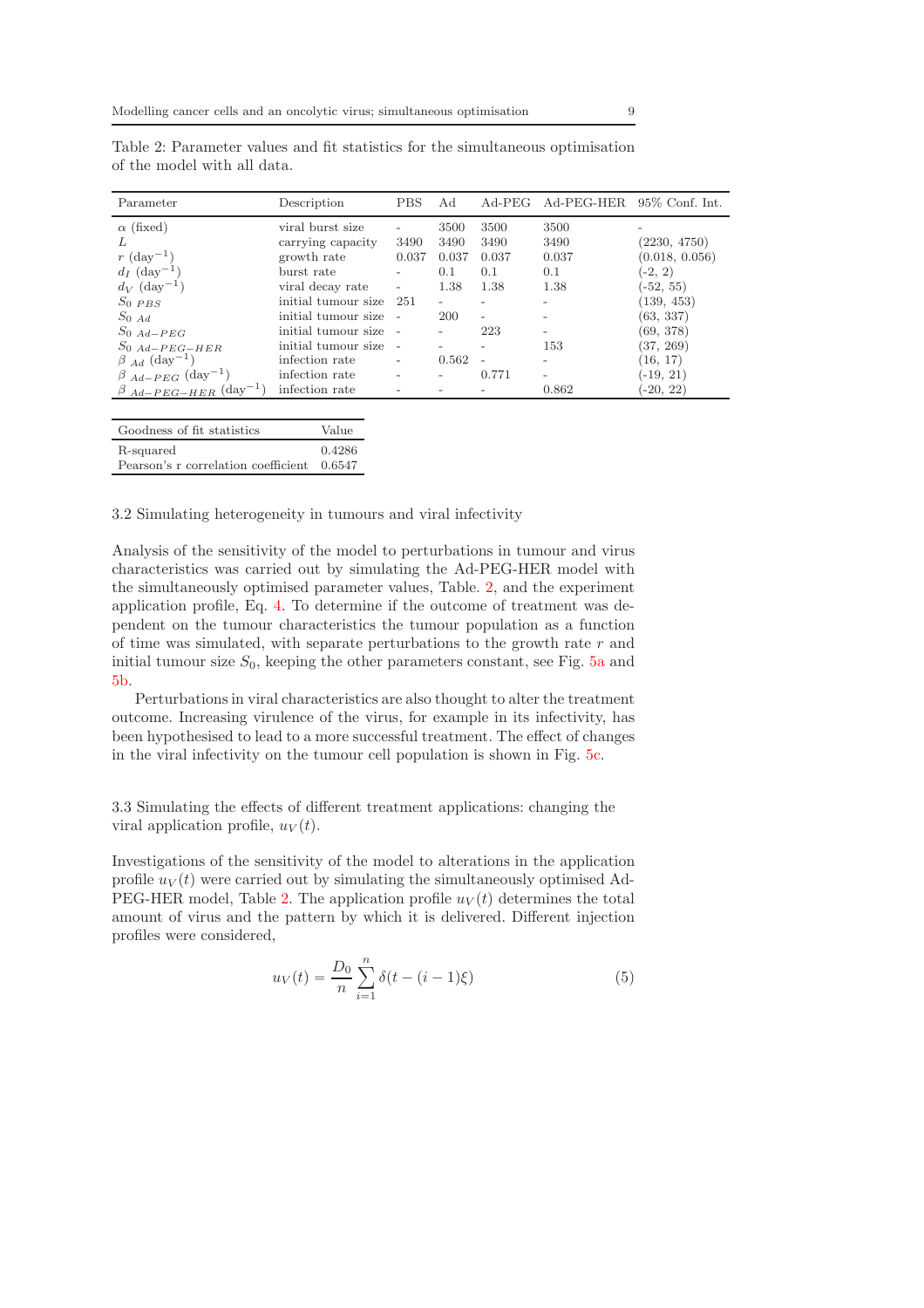| Parameter                                | Description         | <b>PBS</b>               | Ad    | $Ad-PEG$                 | Ad-PEG-HER 95% Conf. Int. |                |
|------------------------------------------|---------------------|--------------------------|-------|--------------------------|---------------------------|----------------|
| $\alpha$ (fixed)                         | viral burst size    |                          | 3500  | 3500                     | 3500                      |                |
|                                          | carrying capacity   | 3490                     | 3490  | 3490                     | 3490                      | (2230, 4750)   |
| $r \text{ (day}^{-1})$                   | growth rate         | 0.037                    | 0.037 | 0.037                    | 0.037                     | (0.018, 0.056) |
| $d_I$ (day <sup>-1</sup> )               | burst rate          |                          | 0.1   | 0.1                      | 0.1                       | $(-2, 2)$      |
| $d_V$ (day <sup>-1</sup> )               | viral decay rate    | $\overline{\phantom{a}}$ | 1.38  | 1.38                     | 1.38                      | $(-52, 55)$    |
| $S_0$ PBS                                | initial tumour size | 251                      |       |                          | $\overline{\phantom{a}}$  | (139, 453)     |
| $S_{0,Ad}$                               | initial tumour size |                          | 200   | $\overline{\phantom{a}}$ |                           | (63, 337)      |
| $S_0$ Ad-PEG                             | initial tumour size |                          |       | 223                      |                           | (69, 378)      |
| $S_0$ Ad-PEG-HER                         | initial tumour size |                          |       |                          | 153                       | $(37,\,269)$   |
| $\beta$ Ad $(\text{day}^{-1})$           | infection rate      |                          | 0.562 | $\overline{a}$           |                           | (16, 17)       |
| $\beta$ $_{Ad-PEG}$ (day <sup>-1</sup> ) | infection rate      |                          |       | 0.771                    | $\overline{\phantom{a}}$  | $(-19, 21)$    |
| $\beta$ Ad-PEG-HER (day <sup>-1</sup> )  | infection rate      |                          |       |                          | 0.862                     | $(-20, 22)$    |

<span id="page-8-0"></span>Table 2: Parameter values and fit statistics for the simultaneous optimisation of the model with all data.

| Goodness of fit statistics          | Value  |
|-------------------------------------|--------|
| R-squared                           | 0.4286 |
| Pearson's r correlation coefficient | 0.6547 |

<span id="page-8-1"></span>3.2 Simulating heterogeneity in tumours and viral infectivity

Analysis of the sensitivity of the model to perturbations in tumour and virus characteristics was carried out by simulating the Ad-PEG-HER model with the simultaneously optimised parameter values, Table. [2,](#page-8-0) and the experiment application profile, Eq. [4.](#page-2-2) To determine if the outcome of treatment was dependent on the tumour characteristics the tumour population as a function of time was simulated, with separate perturbations to the growth rate  $r$  and initial tumour size  $S_0$ , keeping the other parameters constant, see Fig.  $5a$  and [5b.](#page-9-0)

Perturbations in viral characteristics are also thought to alter the treatment outcome. Increasing virulence of the virus, for example in its infectivity, has been hypothesised to lead to a more successful treatment. The effect of changes in the viral infectivity on the tumour cell population is shown in Fig. [5c.](#page-9-0)

3.3 Simulating the effects of different treatment applications: changing the viral application profile,  $u_V(t)$ .

Investigations of the sensitivity of the model to alterations in the application profile  $u_V(t)$  were carried out by simulating the simultaneously optimised Ad-PEG-HER model, Table [2.](#page-8-0) The application profile  $u_V(t)$  determines the total amount of virus and the pattern by which it is delivered. Different injection profiles were considered,

$$
u_V(t) = \frac{D_0}{n} \sum_{i=1}^{n} \delta(t - (i - 1)\xi)
$$
\n(5)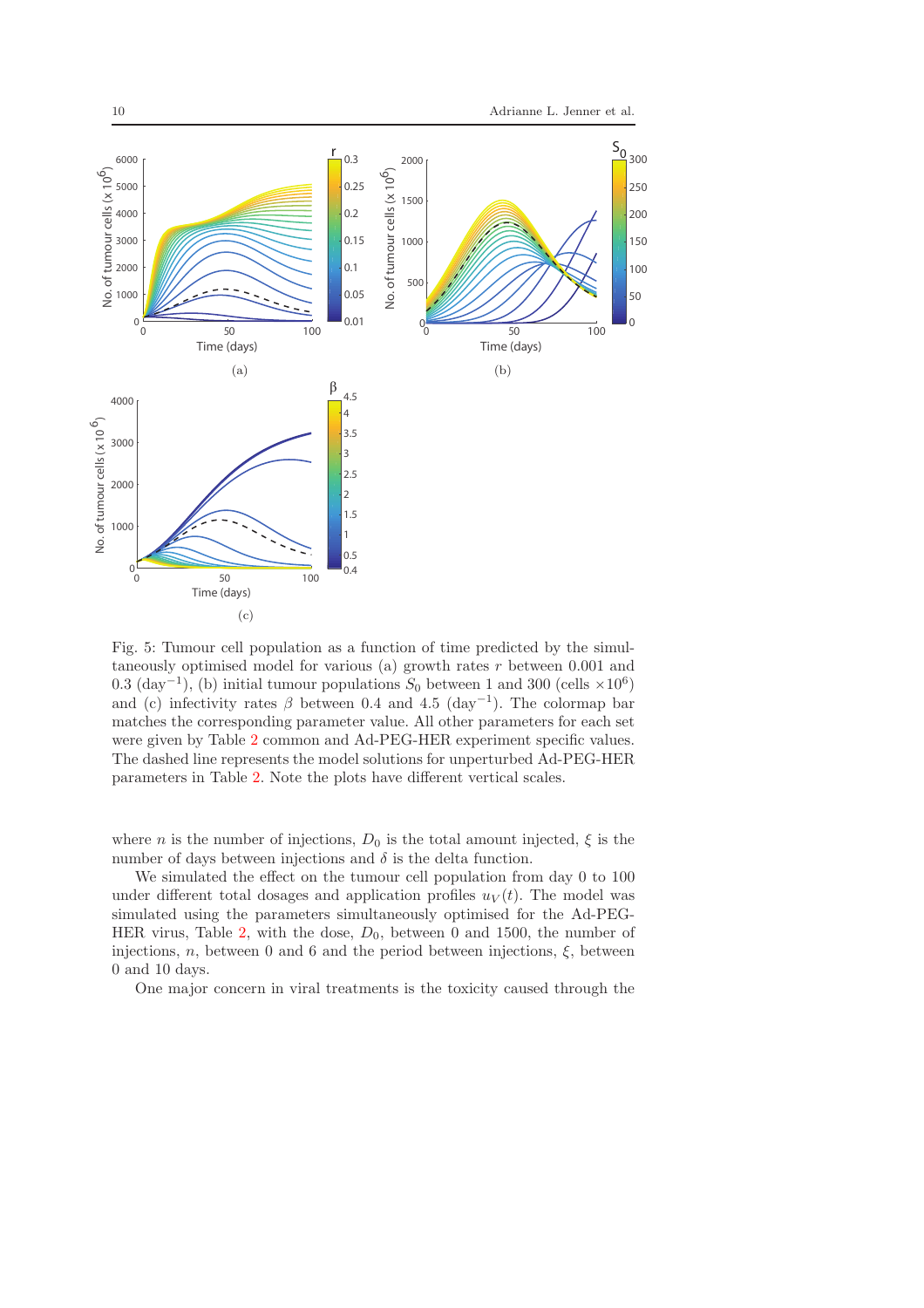<span id="page-9-0"></span>

Fig. 5: Tumour cell population as a function of time predicted by the simultaneously optimised model for various (a) growth rates  $r$  between 0.001 and 0.3  $(\text{day}^{-1})$ , (b) initial tumour populations  $S_0$  between 1 and 300 (cells  $\times 10^6$ ) and (c) infectivity rates  $\beta$  between 0.4 and 4.5 (day<sup>-1</sup>). The colormap bar matches the corresponding parameter value. All other parameters for each set were given by Table [2](#page-8-0) common and Ad-PEG-HER experiment specific values. The dashed line represents the model solutions for unperturbed Ad-PEG-HER parameters in Table [2.](#page-8-0) Note the plots have different vertical scales.

where *n* is the number of injections,  $D_0$  is the total amount injected,  $\xi$  is the number of days between injections and  $\delta$  is the delta function.

We simulated the effect on the tumour cell population from day 0 to 100 under different total dosages and application profiles  $u_V(t)$ . The model was simulated using the parameters simultaneously optimised for the Ad-PEG-HER virus, Table [2,](#page-8-0) with the dose,  $D_0$ , between 0 and 1500, the number of injections,  $n$ , between 0 and 6 and the period between injections,  $\xi$ , between 0 and 10 days.

One major concern in viral treatments is the toxicity caused through the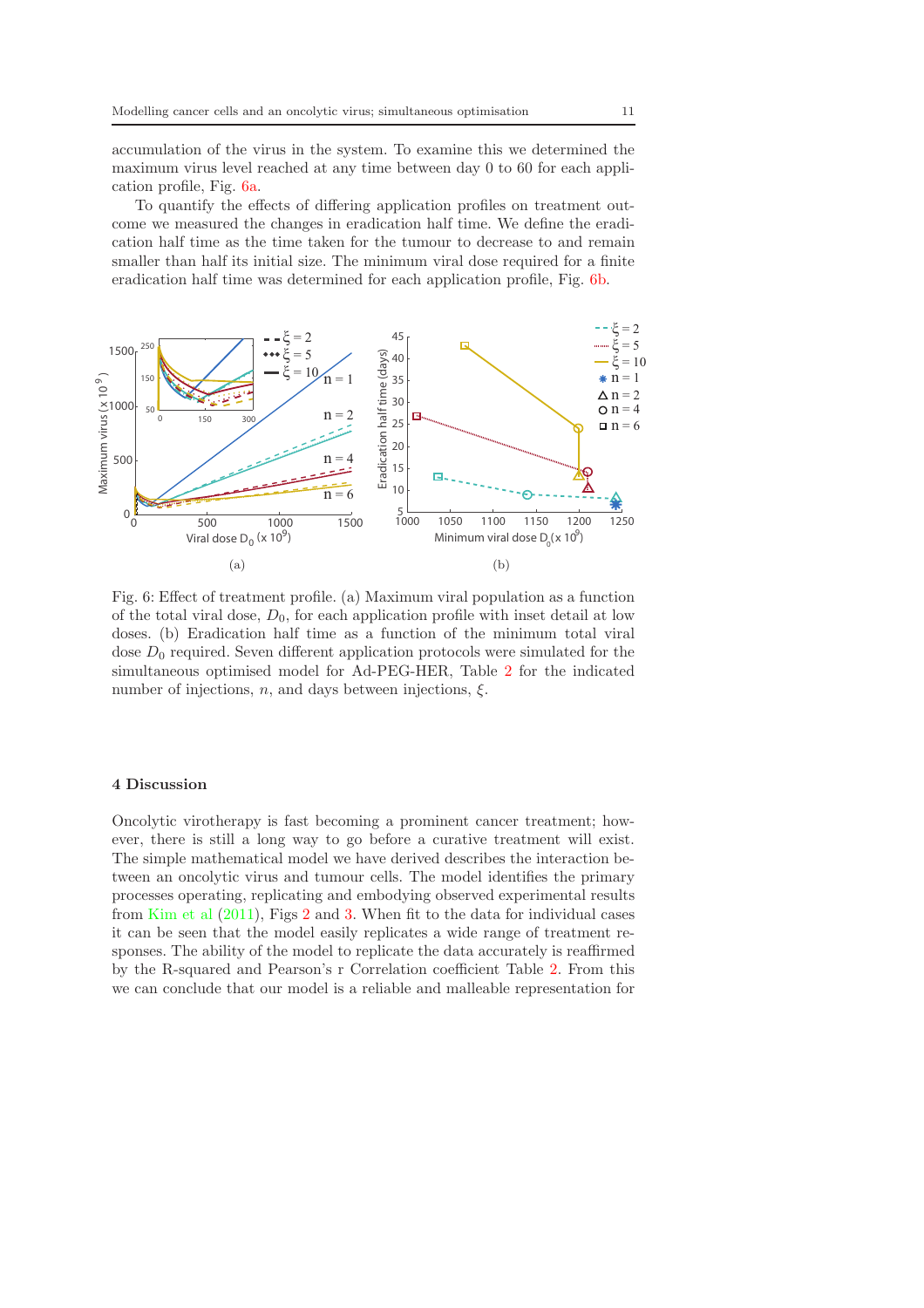accumulation of the virus in the system. To examine this we determined the maximum virus level reached at any time between day 0 to 60 for each application profile, Fig. [6a.](#page-10-0)

To quantify the effects of differing application profiles on treatment outcome we measured the changes in eradication half time. We define the eradication half time as the time taken for the tumour to decrease to and remain smaller than half its initial size. The minimum viral dose required for a finite eradication half time was determined for each application profile, Fig. [6b.](#page-10-0)

<span id="page-10-0"></span>

Fig. 6: Effect of treatment profile. (a) Maximum viral population as a function of the total viral dose,  $D_0$ , for each application profile with inset detail at low doses. (b) Eradication half time as a function of the minimum total viral dose  $D_0$  required. Seven different application protocols were simulated for the simultaneous optimised model for Ad-PEG-HER, Table [2](#page-8-0) for the indicated number of injections, *n*, and days between injections,  $\xi$ .

# 4 Discussion

Oncolytic virotherapy is fast becoming a prominent cancer treatment; however, there is still a long way to go before a curative treatment will exist. The simple mathematical model we have derived describes the interaction between an oncolytic virus and tumour cells. The model identifies the primary processes operating, replicating and embodying observed experimental results from [Kim et al](#page-13-0) [\(2011\)](#page-13-0), Figs [2](#page-5-0) and [3.](#page-6-0) When fit to the data for individual cases it can be seen that the model easily replicates a wide range of treatment responses. The ability of the model to replicate the data accurately is reaffirmed by the R-squared and Pearson's r Correlation coefficient Table [2.](#page-8-0) From this we can conclude that our model is a reliable and malleable representation for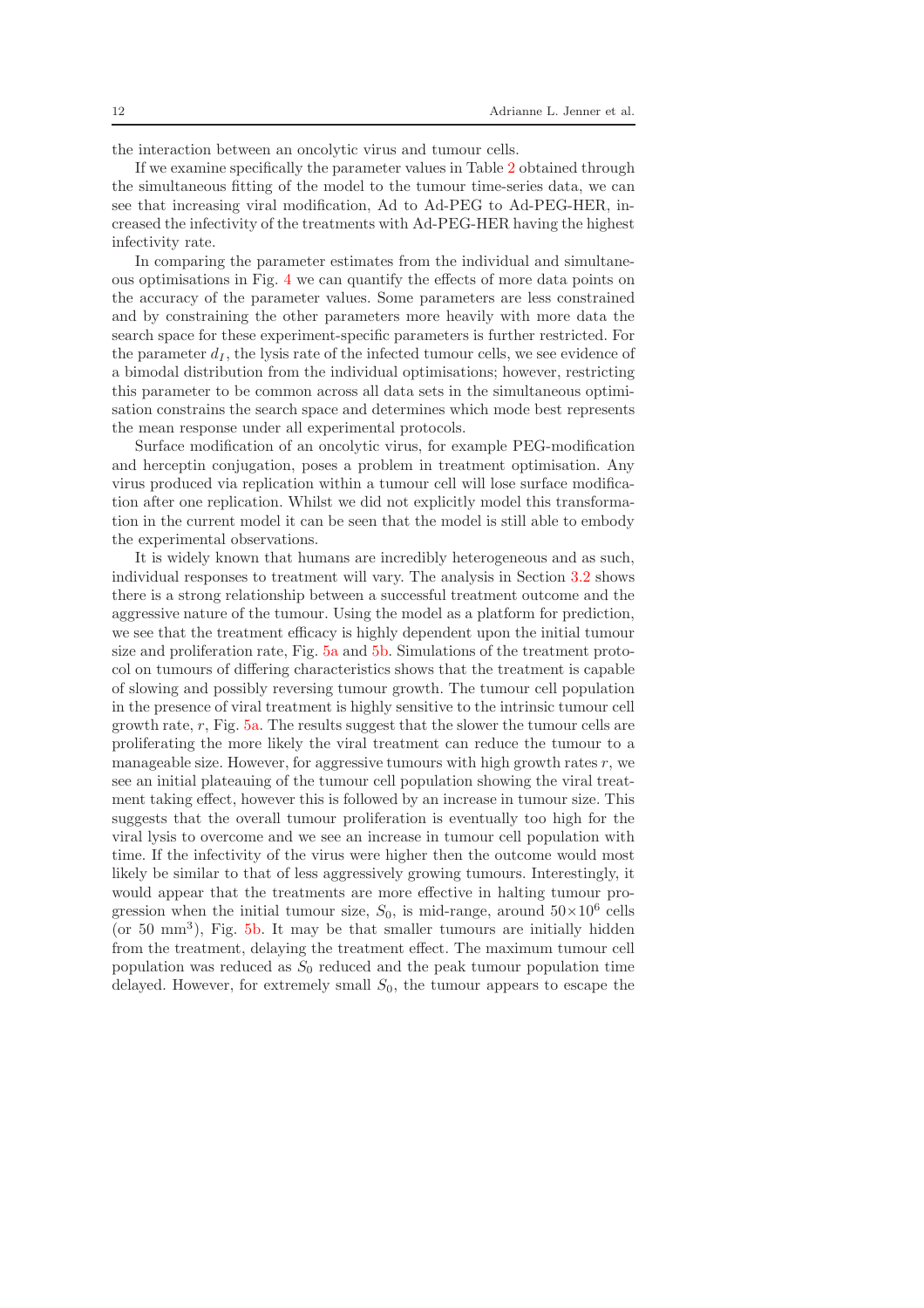the interaction between an oncolytic virus and tumour cells.

If we examine specifically the parameter values in Table [2](#page-8-0) obtained through the simultaneous fitting of the model to the tumour time-series data, we can see that increasing viral modification, Ad to Ad-PEG to Ad-PEG-HER, increased the infectivity of the treatments with Ad-PEG-HER having the highest infectivity rate.

In comparing the parameter estimates from the individual and simultaneous optimisations in Fig. [4](#page-7-0) we can quantify the effects of more data points on the accuracy of the parameter values. Some parameters are less constrained and by constraining the other parameters more heavily with more data the search space for these experiment-specific parameters is further restricted. For the parameter  $d_I$ , the lysis rate of the infected tumour cells, we see evidence of a bimodal distribution from the individual optimisations; however, restricting this parameter to be common across all data sets in the simultaneous optimisation constrains the search space and determines which mode best represents the mean response under all experimental protocols.

Surface modification of an oncolytic virus, for example PEG-modification and herceptin conjugation, poses a problem in treatment optimisation. Any virus produced via replication within a tumour cell will lose surface modification after one replication. Whilst we did not explicitly model this transformation in the current model it can be seen that the model is still able to embody the experimental observations.

It is widely known that humans are incredibly heterogeneous and as such, individual responses to treatment will vary. The analysis in Section [3.2](#page-8-1) shows there is a strong relationship between a successful treatment outcome and the aggressive nature of the tumour. Using the model as a platform for prediction, we see that the treatment efficacy is highly dependent upon the initial tumour size and proliferation rate, Fig. [5a](#page-9-0) and [5b.](#page-9-0) Simulations of the treatment protocol on tumours of differing characteristics shows that the treatment is capable of slowing and possibly reversing tumour growth. The tumour cell population in the presence of viral treatment is highly sensitive to the intrinsic tumour cell growth rate,  $r$ , Fig.  $5a$ . The results suggest that the slower the tumour cells are proliferating the more likely the viral treatment can reduce the tumour to a manageable size. However, for aggressive tumours with high growth rates r, we see an initial plateauing of the tumour cell population showing the viral treatment taking effect, however this is followed by an increase in tumour size. This suggests that the overall tumour proliferation is eventually too high for the viral lysis to overcome and we see an increase in tumour cell population with time. If the infectivity of the virus were higher then the outcome would most likely be similar to that of less aggressively growing tumours. Interestingly, it would appear that the treatments are more effective in halting tumour progression when the initial tumour size,  $S_0$ , is mid-range, around  $50 \times 10^6$  cells  $($ or 50 mm<sup>3</sup> $)$ , Fig. [5b.](#page-9-0) It may be that smaller tumours are initially hidden from the treatment, delaying the treatment effect. The maximum tumour cell population was reduced as  $S_0$  reduced and the peak tumour population time delayed. However, for extremely small  $S_0$ , the tumour appears to escape the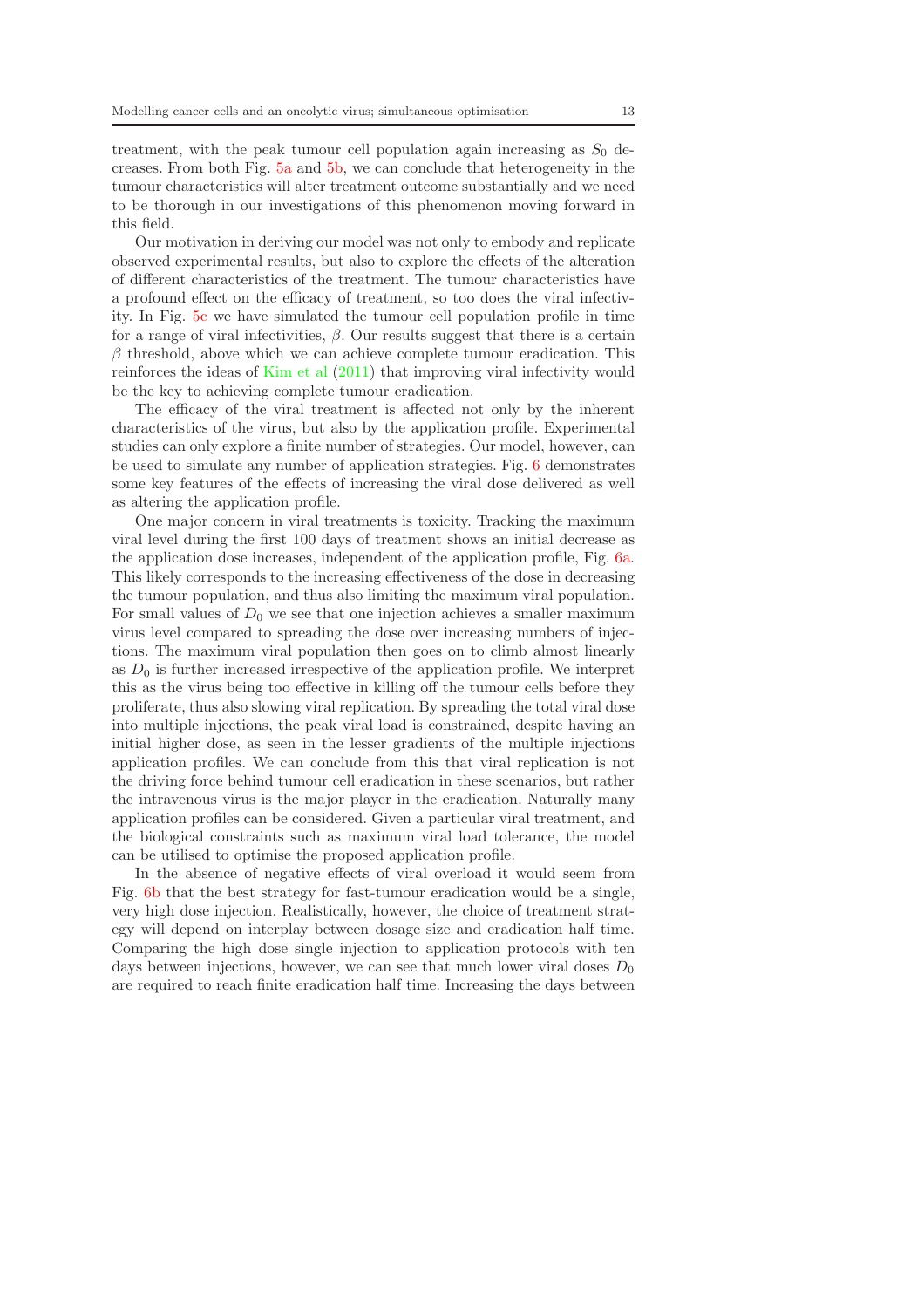treatment, with the peak tumour cell population again increasing as  $S_0$  decreases. From both Fig. [5a](#page-9-0) and [5b,](#page-9-0) we can conclude that heterogeneity in the tumour characteristics will alter treatment outcome substantially and we need to be thorough in our investigations of this phenomenon moving forward in this field.

Our motivation in deriving our model was not only to embody and replicate observed experimental results, but also to explore the effects of the alteration of different characteristics of the treatment. The tumour characteristics have a profound effect on the efficacy of treatment, so too does the viral infectivity. In Fig. [5c](#page-9-0) we have simulated the tumour cell population profile in time for a range of viral infectivities,  $\beta$ . Our results suggest that there is a certain  $\beta$  threshold, above which we can achieve complete tumour eradication. This reinforces the ideas of [Kim et al](#page-13-0) [\(2011\)](#page-13-0) that improving viral infectivity would be the key to achieving complete tumour eradication.

The efficacy of the viral treatment is affected not only by the inherent characteristics of the virus, but also by the application profile. Experimental studies can only explore a finite number of strategies. Our model, however, can be used to simulate any number of application strategies. Fig. [6](#page-10-0) demonstrates some key features of the effects of increasing the viral dose delivered as well as altering the application profile.

One major concern in viral treatments is toxicity. Tracking the maximum viral level during the first 100 days of treatment shows an initial decrease as the application dose increases, independent of the application profile, Fig. [6a.](#page-10-0) This likely corresponds to the increasing effectiveness of the dose in decreasing the tumour population, and thus also limiting the maximum viral population. For small values of  $D_0$  we see that one injection achieves a smaller maximum virus level compared to spreading the dose over increasing numbers of injections. The maximum viral population then goes on to climb almost linearly as  $D_0$  is further increased irrespective of the application profile. We interpret this as the virus being too effective in killing off the tumour cells before they proliferate, thus also slowing viral replication. By spreading the total viral dose into multiple injections, the peak viral load is constrained, despite having an initial higher dose, as seen in the lesser gradients of the multiple injections application profiles. We can conclude from this that viral replication is not the driving force behind tumour cell eradication in these scenarios, but rather the intravenous virus is the major player in the eradication. Naturally many application profiles can be considered. Given a particular viral treatment, and the biological constraints such as maximum viral load tolerance, the model can be utilised to optimise the proposed application profile.

In the absence of negative effects of viral overload it would seem from Fig. [6b](#page-10-0) that the best strategy for fast-tumour eradication would be a single, very high dose injection. Realistically, however, the choice of treatment strategy will depend on interplay between dosage size and eradication half time. Comparing the high dose single injection to application protocols with ten days between injections, however, we can see that much lower viral doses  $D_0$ are required to reach finite eradication half time. Increasing the days between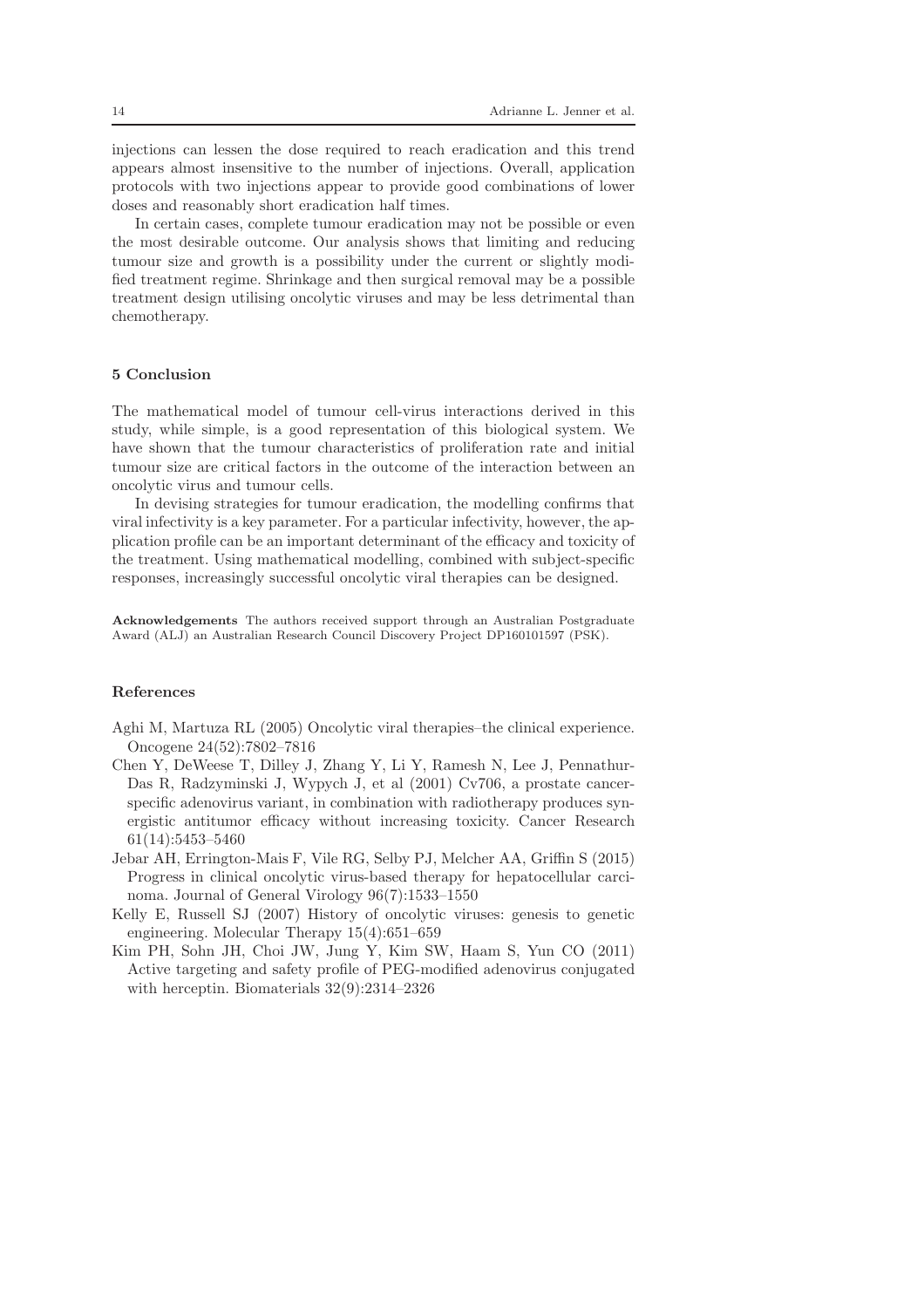injections can lessen the dose required to reach eradication and this trend appears almost insensitive to the number of injections. Overall, application protocols with two injections appear to provide good combinations of lower doses and reasonably short eradication half times.

In certain cases, complete tumour eradication may not be possible or even the most desirable outcome. Our analysis shows that limiting and reducing tumour size and growth is a possibility under the current or slightly modified treatment regime. Shrinkage and then surgical removal may be a possible treatment design utilising oncolytic viruses and may be less detrimental than chemotherapy.

# 5 Conclusion

The mathematical model of tumour cell-virus interactions derived in this study, while simple, is a good representation of this biological system. We have shown that the tumour characteristics of proliferation rate and initial tumour size are critical factors in the outcome of the interaction between an oncolytic virus and tumour cells.

In devising strategies for tumour eradication, the modelling confirms that viral infectivity is a key parameter. For a particular infectivity, however, the application profile can be an important determinant of the efficacy and toxicity of the treatment. Using mathematical modelling, combined with subject-specific responses, increasingly successful oncolytic viral therapies can be designed.

Acknowledgements The authors received support through an Australian Postgraduate Award (ALJ) an Australian Research Council Discovery Project DP160101597 (PSK).

# References

<span id="page-13-2"></span>Aghi M, Martuza RL (2005) Oncolytic viral therapies–the clinical experience. Oncogene 24(52):7802–7816

- <span id="page-13-4"></span>Chen Y, DeWeese T, Dilley J, Zhang Y, Li Y, Ramesh N, Lee J, Pennathur-Das R, Radzyminski J, Wypych J, et al (2001) Cv706, a prostate cancerspecific adenovirus variant, in combination with radiotherapy produces synergistic antitumor efficacy without increasing toxicity. Cancer Research 61(14):5453–5460
- <span id="page-13-3"></span>Jebar AH, Errington-Mais F, Vile RG, Selby PJ, Melcher AA, Griffin S (2015) Progress in clinical oncolytic virus-based therapy for hepatocellular carcinoma. Journal of General Virology 96(7):1533–1550
- <span id="page-13-1"></span>Kelly E, Russell SJ (2007) History of oncolytic viruses: genesis to genetic engineering. Molecular Therapy 15(4):651–659
- <span id="page-13-0"></span>Kim PH, Sohn JH, Choi JW, Jung Y, Kim SW, Haam S, Yun CO (2011) Active targeting and safety profile of PEG-modified adenovirus conjugated with herceptin. Biomaterials 32(9):2314–2326